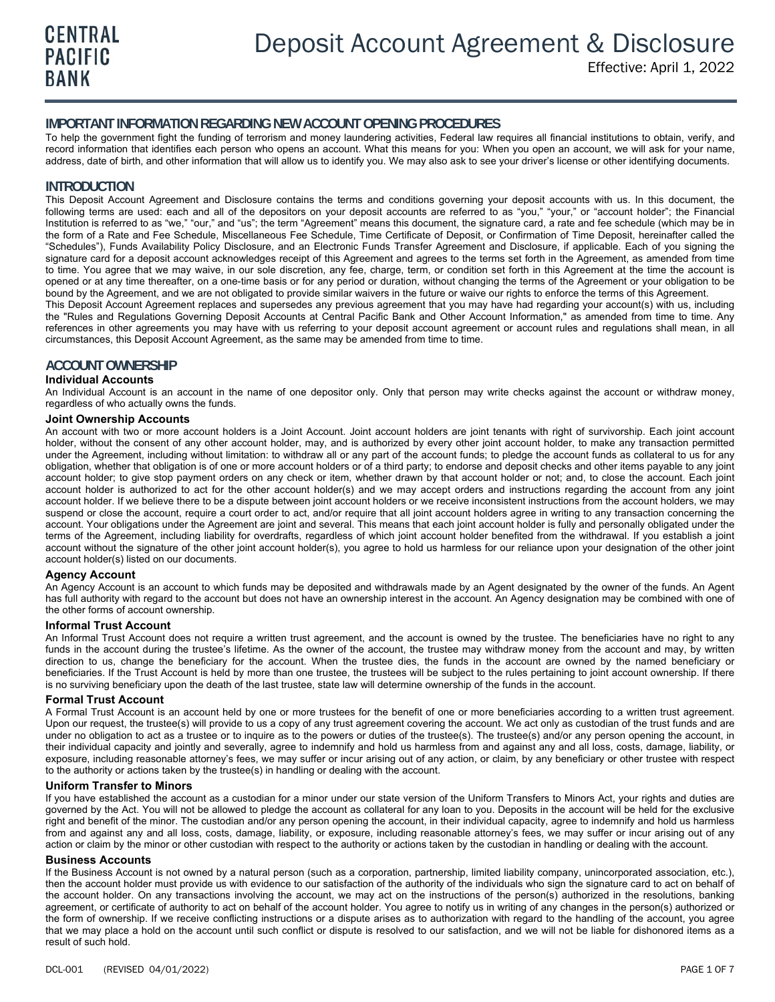# **IMPORTANT INFORMATION REGARDING NEW ACCOUNT OPENING PROCEDURES**

To help the government fight the funding of terrorism and money laundering activities, Federal law requires all financial institutions to obtain, verify, and record information that identifies each person who opens an account. What this means for you: When you open an account, we will ask for your name, address, date of birth, and other information that will allow us to identify you. We may also ask to see your driver's license or other identifying documents.

# **INTRODUCTION**

This Deposit Account Agreement and Disclosure contains the terms and conditions governing your deposit accounts with us. In this document, the following terms are used: each and all of the depositors on your deposit accounts are referred to as "you," "your," or "account holder"; the Financial Institution is referred to as "we," "our," and "us"; the term "Agreement" means this document, the signature card, a rate and fee schedule (which may be in the form of a Rate and Fee Schedule, Miscellaneous Fee Schedule, Time Certificate of Deposit, or Confirmation of Time Deposit, hereinafter called the "Schedules"), Funds Availability Policy Disclosure, and an Electronic Funds Transfer Agreement and Disclosure, if applicable. Each of you signing the signature card for a deposit account acknowledges receipt of this Agreement and agrees to the terms set forth in the Agreement, as amended from time to time. You agree that we may waive, in our sole discretion, any fee, charge, term, or condition set forth in this Agreement at the time the account is opened or at any time thereafter, on a one-time basis or for any period or duration, without changing the terms of the Agreement or your obligation to be bound by the Agreement, and we are not obligated to provide similar waivers in the future or waive our rights to enforce the terms of this Agreement.

This Deposit Account Agreement replaces and supersedes any previous agreement that you may have had regarding your account(s) with us, including the "Rules and Regulations Governing Deposit Accounts at Central Pacific Bank and Other Account Information," as amended from time to time. Any references in other agreements you may have with us referring to your deposit account agreement or account rules and regulations shall mean, in all circumstances, this Deposit Account Agreement, as the same may be amended from time to time.

# **ACCOUNT OWNERSHIP**

#### **Individual Accounts**

An Individual Account is an account in the name of one depositor only. Only that person may write checks against the account or withdraw money, regardless of who actually owns the funds.

#### **Joint Ownership Accounts**

An account with two or more account holders is a Joint Account. Joint account holders are joint tenants with right of survivorship. Each joint account holder, without the consent of any other account holder, may, and is authorized by every other joint account holder, to make any transaction permitted under the Agreement, including without limitation: to withdraw all or any part of the account funds; to pledge the account funds as collateral to us for any obligation, whether that obligation is of one or more account holders or of a third party; to endorse and deposit checks and other items payable to any joint account holder; to give stop payment orders on any check or item, whether drawn by that account holder or not; and, to close the account. Each joint account holder is authorized to act for the other account holder(s) and we may accept orders and instructions regarding the account from any joint account holder. If we believe there to be a dispute between joint account holders or we receive inconsistent instructions from the account holders, we may suspend or close the account, require a court order to act, and/or require that all joint account holders agree in writing to any transaction concerning the account. Your obligations under the Agreement are joint and several. This means that each joint account holder is fully and personally obligated under the terms of the Agreement, including liability for overdrafts, regardless of which joint account holder benefited from the withdrawal. If you establish a joint account without the signature of the other joint account holder(s), you agree to hold us harmless for our reliance upon your designation of the other joint account holder(s) listed on our documents.

#### **Agency Account**

An Agency Account is an account to which funds may be deposited and withdrawals made by an Agent designated by the owner of the funds. An Agent has full authority with regard to the account but does not have an ownership interest in the account. An Agency designation may be combined with one of the other forms of account ownership.

#### **Informal Trust Account**

An Informal Trust Account does not require a written trust agreement, and the account is owned by the trustee. The beneficiaries have no right to any funds in the account during the trustee's lifetime. As the owner of the account, the trustee may withdraw money from the account and may, by written direction to us, change the beneficiary for the account. When the trustee dies, the funds in the account are owned by the named beneficiary or beneficiaries. If the Trust Account is held by more than one trustee, the trustees will be subject to the rules pertaining to joint account ownership. If there is no surviving beneficiary upon the death of the last trustee, state law will determine ownership of the funds in the account.

#### **Formal Trust Account**

A Formal Trust Account is an account held by one or more trustees for the benefit of one or more beneficiaries according to a written trust agreement. Upon our request, the trustee(s) will provide to us a copy of any trust agreement covering the account. We act only as custodian of the trust funds and are under no obligation to act as a trustee or to inquire as to the powers or duties of the trustee(s). The trustee(s) and/or any person opening the account, in their individual capacity and jointly and severally, agree to indemnify and hold us harmless from and against any and all loss, costs, damage, liability, or exposure, including reasonable attorney's fees, we may suffer or incur arising out of any action, or claim, by any beneficiary or other trustee with respect to the authority or actions taken by the trustee(s) in handling or dealing with the account.

### **Uniform Transfer to Minors**

If you have established the account as a custodian for a minor under our state version of the Uniform Transfers to Minors Act, your rights and duties are governed by the Act. You will not be allowed to pledge the account as collateral for any loan to you. Deposits in the account will be held for the exclusive right and benefit of the minor. The custodian and/or any person opening the account, in their individual capacity, agree to indemnify and hold us harmless from and against any and all loss, costs, damage, liability, or exposure, including reasonable attorney's fees, we may suffer or incur arising out of any action or claim by the minor or other custodian with respect to the authority or actions taken by the custodian in handling or dealing with the account.

#### **Business Accounts**

If the Business Account is not owned by a natural person (such as a corporation, partnership, limited liability company, unincorporated association, etc.), then the account holder must provide us with evidence to our satisfaction of the authority of the individuals who sign the signature card to act on behalf of the account holder. On any transactions involving the account, we may act on the instructions of the person(s) authorized in the resolutions, banking agreement, or certificate of authority to act on behalf of the account holder. You agree to notify us in writing of any changes in the person(s) authorized or the form of ownership. If we receive conflicting instructions or a dispute arises as to authorization with regard to the handling of the account, you agree that we may place a hold on the account until such conflict or dispute is resolved to our satisfaction, and we will not be liable for dishonored items as a result of such hold.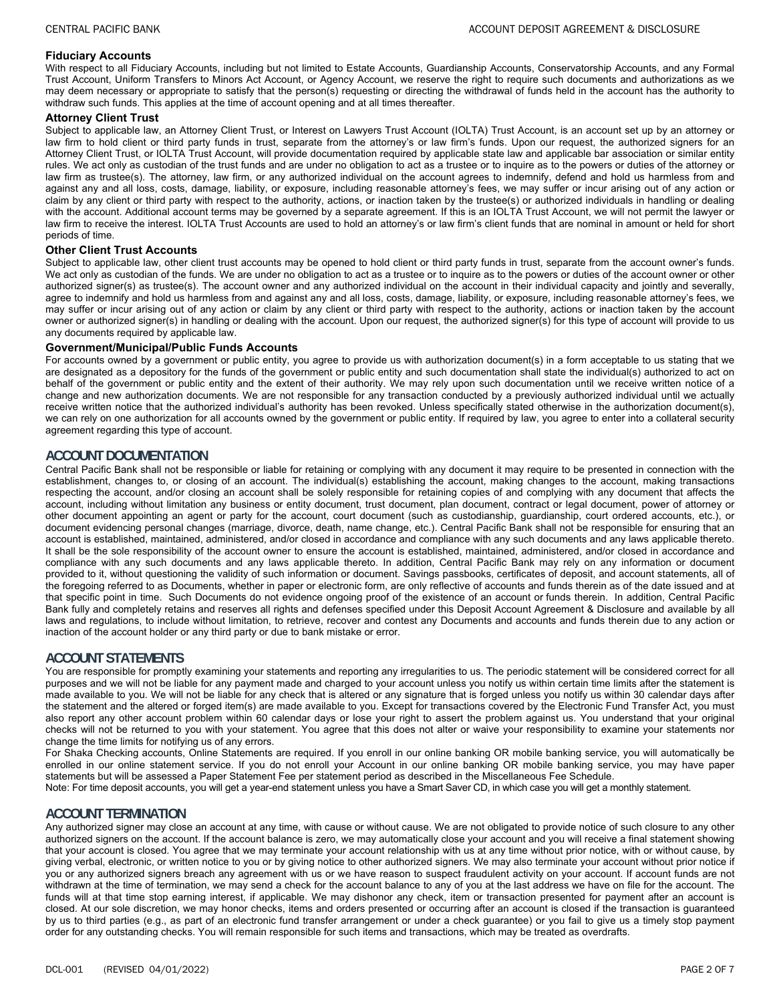#### **Fiduciary Accounts**

With respect to all Fiduciary Accounts, including but not limited to Estate Accounts, Guardianship Accounts, Conservatorship Accounts, and any Formal Trust Account, Uniform Transfers to Minors Act Account, or Agency Account, we reserve the right to require such documents and authorizations as we may deem necessary or appropriate to satisfy that the person(s) requesting or directing the withdrawal of funds held in the account has the authority to withdraw such funds. This applies at the time of account opening and at all times thereafter.

#### **Attorney Client Trust**

Subject to applicable law, an Attorney Client Trust, or Interest on Lawyers Trust Account (IOLTA) Trust Account, is an account set up by an attorney or law firm to hold client or third party funds in trust, separate from the attorney's or law firm's funds. Upon our request, the authorized signers for an Attorney Client Trust, or IOLTA Trust Account, will provide documentation required by applicable state law and applicable bar association or similar entity rules. We act only as custodian of the trust funds and are under no obligation to act as a trustee or to inquire as to the powers or duties of the attorney or law firm as trustee(s). The attorney, law firm, or any authorized individual on the account agrees to indemnify, defend and hold us harmless from and against any and all loss, costs, damage, liability, or exposure, including reasonable attorney's fees, we may suffer or incur arising out of any action or claim by any client or third party with respect to the authority, actions, or inaction taken by the trustee(s) or authorized individuals in handling or dealing with the account. Additional account terms may be governed by a separate agreement. If this is an IOLTA Trust Account, we will not permit the lawyer or law firm to receive the interest. IOLTA Trust Accounts are used to hold an attorney's or law firm's client funds that are nominal in amount or held for short periods of time.

### **Other Client Trust Accounts**

Subject to applicable law, other client trust accounts may be opened to hold client or third party funds in trust, separate from the account owner's funds. We act only as custodian of the funds. We are under no obligation to act as a trustee or to inquire as to the powers or duties of the account owner or other authorized signer(s) as trustee(s). The account owner and any authorized individual on the account in their individual capacity and jointly and severally, agree to indemnify and hold us harmless from and against any and all loss, costs, damage, liability, or exposure, including reasonable attorney's fees, we may suffer or incur arising out of any action or claim by any client or third party with respect to the authority, actions or inaction taken by the account owner or authorized signer(s) in handling or dealing with the account. Upon our request, the authorized signer(s) for this type of account will provide to us any documents required by applicable law.

#### **Government/Municipal/Public Funds Accounts**

For accounts owned by a government or public entity, you agree to provide us with authorization document(s) in a form acceptable to us stating that we are designated as a depository for the funds of the government or public entity and such documentation shall state the individual(s) authorized to act on behalf of the government or public entity and the extent of their authority. We may rely upon such documentation until we receive written notice of a change and new authorization documents. We are not responsible for any transaction conducted by a previously authorized individual until we actually receive written notice that the authorized individual's authority has been revoked. Unless specifically stated otherwise in the authorization document(s), we can rely on one authorization for all accounts owned by the government or public entity. If required by law, you agree to enter into a collateral security agreement regarding this type of account.

### **ACCOUNT DOCUMENTATION**

Central Pacific Bank shall not be responsible or liable for retaining or complying with any document it may require to be presented in connection with the establishment, changes to, or closing of an account. The individual(s) establishing the account, making changes to the account, making transactions respecting the account, and/or closing an account shall be solely responsible for retaining copies of and complying with any document that affects the account, including without limitation any business or entity document, trust document, plan document, contract or legal document, power of attorney or other document appointing an agent or party for the account, court document (such as custodianship, guardianship, court ordered accounts, etc.), or document evidencing personal changes (marriage, divorce, death, name change, etc.). Central Pacific Bank shall not be responsible for ensuring that an account is established, maintained, administered, and/or closed in accordance and compliance with any such documents and any laws applicable thereto. It shall be the sole responsibility of the account owner to ensure the account is established, maintained, administered, and/or closed in accordance and compliance with any such documents and any laws applicable thereto. In addition, Central Pacific Bank may rely on any information or document provided to it, without questioning the validity of such information or document. Savings passbooks, certificates of deposit, and account statements, all of the foregoing referred to as Documents, whether in paper or electronic form, are only reflective of accounts and funds therein as of the date issued and at that specific point in time. Such Documents do not evidence ongoing proof of the existence of an account or funds therein. In addition, Central Pacific Bank fully and completely retains and reserves all rights and defenses specified under this Deposit Account Agreement & Disclosure and available by all laws and regulations, to include without limitation, to retrieve, recover and contest any Documents and accounts and funds therein due to any action or inaction of the account holder or any third party or due to bank mistake or error.

# **ACCOUNT STATEMENTS**

You are responsible for promptly examining your statements and reporting any irregularities to us. The periodic statement will be considered correct for all purposes and we will not be liable for any payment made and charged to your account unless you notify us within certain time limits after the statement is made available to you. We will not be liable for any check that is altered or any signature that is forged unless you notify us within 30 calendar days after the statement and the altered or forged item(s) are made available to you. Except for transactions covered by the Electronic Fund Transfer Act, you must also report any other account problem within 60 calendar days or lose your right to assert the problem against us. You understand that your original checks will not be returned to you with your statement. You agree that this does not alter or waive your responsibility to examine your statements nor change the time limits for notifying us of any errors.

For Shaka Checking accounts, Online Statements are required. If you enroll in our online banking OR mobile banking service, you will automatically be enrolled in our online statement service. If you do not enroll your Account in our online banking OR mobile banking service, you may have paper statements but will be assessed a Paper Statement Fee per statement period as described in the Miscellaneous Fee Schedule. Note: For time deposit accounts, you will get a year-end statement unless you have a Smart Saver CD, in which case you will get a monthly statement.

# **ACCOUNT TERMINATION**

Any authorized signer may close an account at any time, with cause or without cause. We are not obligated to provide notice of such closure to any other authorized signers on the account. If the account balance is zero, we may automatically close your account and you will receive a final statement showing that your account is closed. You agree that we may terminate your account relationship with us at any time without prior notice, with or without cause, by giving verbal, electronic, or written notice to you or by giving notice to other authorized signers. We may also terminate your account without prior notice if you or any authorized signers breach any agreement with us or we have reason to suspect fraudulent activity on your account. If account funds are not withdrawn at the time of termination, we may send a check for the account balance to any of you at the last address we have on file for the account. The funds will at that time stop earning interest, if applicable. We may dishonor any check, item or transaction presented for payment after an account is closed. At our sole discretion, we may honor checks, items and orders presented or occurring after an account is closed if the transaction is guaranteed by us to third parties (e.g., as part of an electronic fund transfer arrangement or under a check guarantee) or you fail to give us a timely stop payment order for any outstanding checks. You will remain responsible for such items and transactions, which may be treated as overdrafts.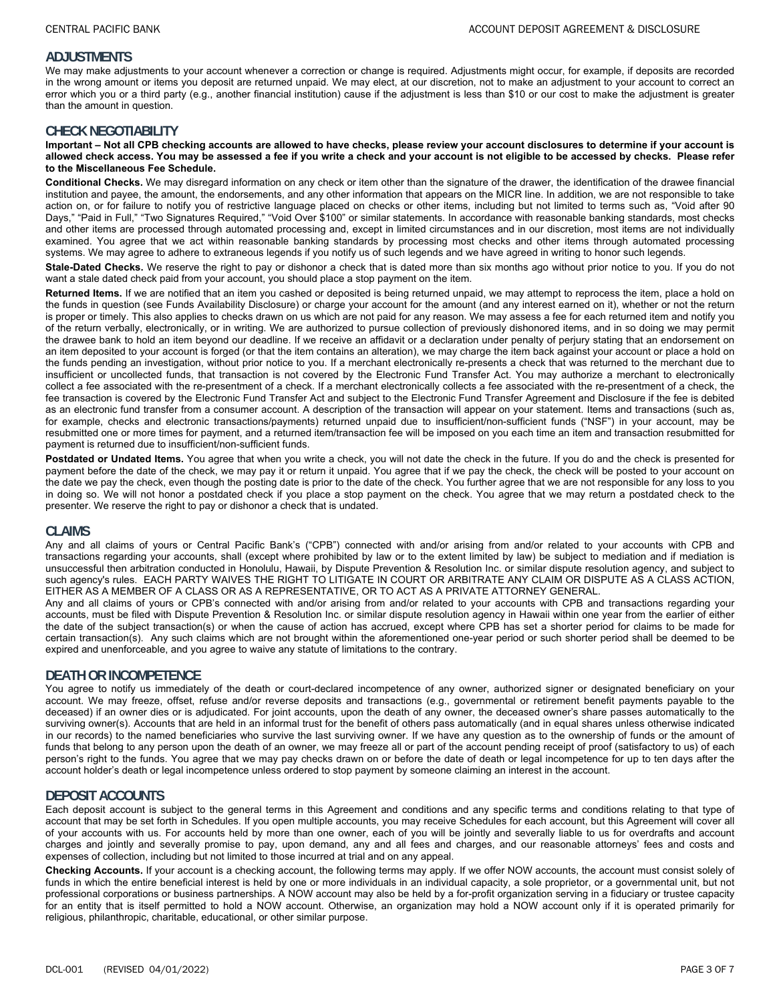## **ADJUSTMENTS**

We may make adjustments to your account whenever a correction or change is required. Adjustments might occur, for example, if deposits are recorded in the wrong amount or items you deposit are returned unpaid. We may elect, at our discretion, not to make an adjustment to your account to correct an error which you or a third party (e.g., another financial institution) cause if the adjustment is less than \$10 or our cost to make the adjustment is greater than the amount in question.

### **CHECK NEGOTIABILITY**

#### **Important – Not all CPB checking accounts are allowed to have checks, please review your account disclosures to determine if your account is allowed check access. You may be assessed a fee if you write a check and your account is not eligible to be accessed by checks. Please refer to the Miscellaneous Fee Schedule.**

**Conditional Checks.** We may disregard information on any check or item other than the signature of the drawer, the identification of the drawee financial institution and payee, the amount, the endorsements, and any other information that appears on the MICR line. In addition, we are not responsible to take action on, or for failure to notify you of restrictive language placed on checks or other items, including but not limited to terms such as, "Void after 90 Days," "Paid in Full," "Two Signatures Required," "Void Over \$100" or similar statements. In accordance with reasonable banking standards, most checks and other items are processed through automated processing and, except in limited circumstances and in our discretion, most items are not individually examined. You agree that we act within reasonable banking standards by processing most checks and other items through automated processing systems. We may agree to adhere to extraneous legends if you notify us of such legends and we have agreed in writing to honor such legends.

**Stale-Dated Checks.** We reserve the right to pay or dishonor a check that is dated more than six months ago without prior notice to you. If you do not want a stale dated check paid from your account, you should place a stop payment on the item.

**Returned Items.** If we are notified that an item you cashed or deposited is being returned unpaid, we may attempt to reprocess the item, place a hold on the funds in question (see Funds Availability Disclosure) or charge your account for the amount (and any interest earned on it), whether or not the return is proper or timely. This also applies to checks drawn on us which are not paid for any reason. We may assess a fee for each returned item and notify you of the return verbally, electronically, or in writing. We are authorized to pursue collection of previously dishonored items, and in so doing we may permit the drawee bank to hold an item beyond our deadline. If we receive an affidavit or a declaration under penalty of perjury stating that an endorsement on an item deposited to your account is forged (or that the item contains an alteration), we may charge the item back against your account or place a hold on the funds pending an investigation, without prior notice to you. If a merchant electronically re-presents a check that was returned to the merchant due to insufficient or uncollected funds, that transaction is not covered by the Electronic Fund Transfer Act. You may authorize a merchant to electronically collect a fee associated with the re-presentment of a check. If a merchant electronically collects a fee associated with the re-presentment of a check, the fee transaction is covered by the Electronic Fund Transfer Act and subject to the Electronic Fund Transfer Agreement and Disclosure if the fee is debited as an electronic fund transfer from a consumer account. A description of the transaction will appear on your statement. Items and transactions (such as, for example, checks and electronic transactions/payments) returned unpaid due to insufficient/non-sufficient funds ("NSF") in your account, may be resubmitted one or more times for payment, and a returned item/transaction fee will be imposed on you each time an item and transaction resubmitted for payment is returned due to insufficient/non-sufficient funds.

Postdated or Undated Items. You agree that when you write a check, you will not date the check in the future. If you do and the check is presented for payment before the date of the check, we may pay it or return it unpaid. You agree that if we pay the check, the check will be posted to your account on the date we pay the check, even though the posting date is prior to the date of the check. You further agree that we are not responsible for any loss to you in doing so. We will not honor a postdated check if you place a stop payment on the check. You agree that we may return a postdated check to the presenter. We reserve the right to pay or dishonor a check that is undated.

### **CLAIMS**

Any and all claims of yours or Central Pacific Bank's ("CPB") connected with and/or arising from and/or related to your accounts with CPB and transactions regarding your accounts, shall (except where prohibited by law or to the extent limited by law) be subject to mediation and if mediation is unsuccessful then arbitration conducted in Honolulu, Hawaii, by Dispute Prevention & Resolution Inc. or similar dispute resolution agency, and subject to such agency's rules. EACH PARTY WAIVES THE RIGHT TO LITIGATE IN COURT OR ARBITRATE ANY CLAIM OR DISPUTE AS A CLASS ACTION, EITHER AS A MEMBER OF A CLASS OR AS A REPRESENTATIVE, OR TO ACT AS A PRIVATE ATTORNEY GENERAL.

Any and all claims of yours or CPB's connected with and/or arising from and/or related to your accounts with CPB and transactions regarding your accounts, must be filed with Dispute Prevention & Resolution Inc. or similar dispute resolution agency in Hawaii within one year from the earlier of either the date of the subject transaction(s) or when the cause of action has accrued, except where CPB has set a shorter period for claims to be made for certain transaction(s). Any such claims which are not brought within the aforementioned one-year period or such shorter period shall be deemed to be expired and unenforceable, and you agree to waive any statute of limitations to the contrary.

### **DEATH OR INCOMPETENCE**

You agree to notify us immediately of the death or court-declared incompetence of any owner, authorized signer or designated beneficiary on your account. We may freeze, offset, refuse and/or reverse deposits and transactions (e.g., governmental or retirement benefit payments payable to the deceased) if an owner dies or is adjudicated. For joint accounts, upon the death of any owner, the deceased owner's share passes automatically to the surviving owner(s). Accounts that are held in an informal trust for the benefit of others pass automatically (and in equal shares unless otherwise indicated in our records) to the named beneficiaries who survive the last surviving owner. If we have any question as to the ownership of funds or the amount of funds that belong to any person upon the death of an owner, we may freeze all or part of the account pending receipt of proof (satisfactory to us) of each person's right to the funds. You agree that we may pay checks drawn on or before the date of death or legal incompetence for up to ten days after the account holder's death or legal incompetence unless ordered to stop payment by someone claiming an interest in the account.

# **DEPOSIT ACCOUNTS**

Each deposit account is subject to the general terms in this Agreement and conditions and any specific terms and conditions relating to that type of account that may be set forth in Schedules. If you open multiple accounts, you may receive Schedules for each account, but this Agreement will cover all of your accounts with us. For accounts held by more than one owner, each of you will be jointly and severally liable to us for overdrafts and account charges and jointly and severally promise to pay, upon demand, any and all fees and charges, and our reasonable attorneys' fees and costs and expenses of collection, including but not limited to those incurred at trial and on any appeal.

**Checking Accounts.** If your account is a checking account, the following terms may apply. If we offer NOW accounts, the account must consist solely of funds in which the entire beneficial interest is held by one or more individuals in an individual capacity, a sole proprietor, or a governmental unit, but not professional corporations or business partnerships. A NOW account may also be held by a for-profit organization serving in a fiduciary or trustee capacity for an entity that is itself permitted to hold a NOW account. Otherwise, an organization may hold a NOW account only if it is operated primarily for religious, philanthropic, charitable, educational, or other similar purpose.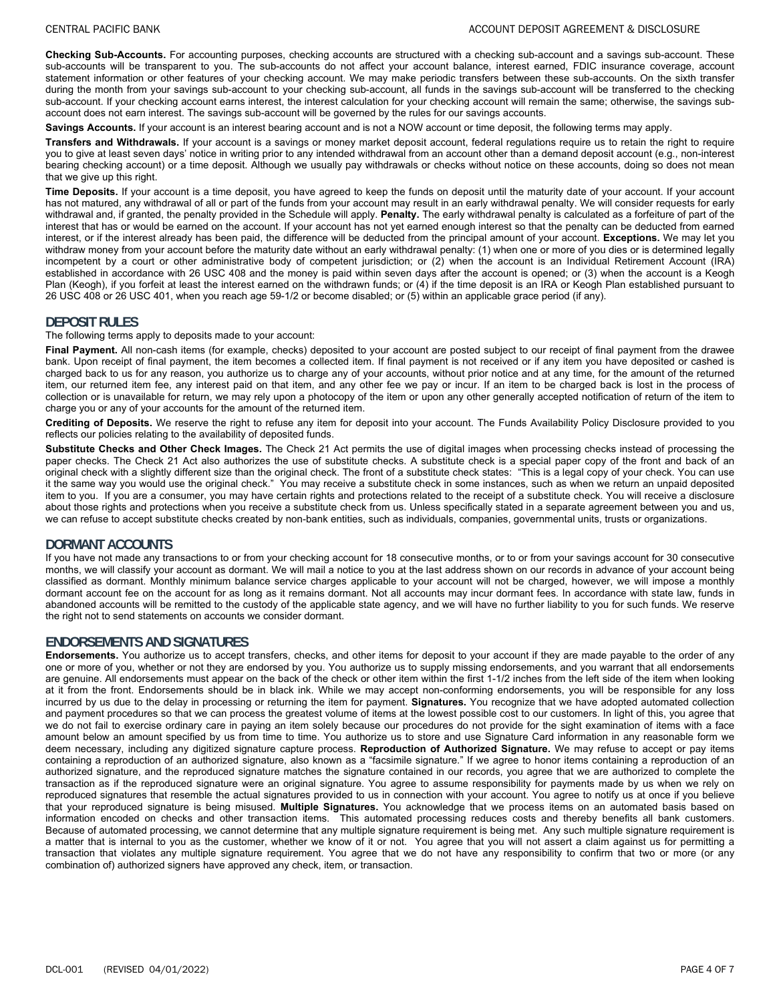**Checking Sub-Accounts.** For accounting purposes, checking accounts are structured with a checking sub-account and a savings sub-account. These sub-accounts will be transparent to you. The sub-accounts do not affect your account balance, interest earned, FDIC insurance coverage, account statement information or other features of your checking account. We may make periodic transfers between these sub-accounts. On the sixth transfer during the month from your savings sub-account to your checking sub-account, all funds in the savings sub-account will be transferred to the checking sub-account. If your checking account earns interest, the interest calculation for your checking account will remain the same; otherwise, the savings subaccount does not earn interest. The savings sub-account will be governed by the rules for our savings accounts.

**Savings Accounts.** If your account is an interest bearing account and is not a NOW account or time deposit, the following terms may apply.

**Transfers and Withdrawals.** If your account is a savings or money market deposit account, federal regulations require us to retain the right to require you to give at least seven days' notice in writing prior to any intended withdrawal from an account other than a demand deposit account (e.g., non-interest bearing checking account) or a time deposit. Although we usually pay withdrawals or checks without notice on these accounts, doing so does not mean that we give up this right.

**Time Deposits.** If your account is a time deposit, you have agreed to keep the funds on deposit until the maturity date of your account. If your account has not matured, any withdrawal of all or part of the funds from your account may result in an early withdrawal penalty. We will consider requests for early withdrawal and, if granted, the penalty provided in the Schedule will apply. **Penalty.** The early withdrawal penalty is calculated as a forfeiture of part of the interest that has or would be earned on the account. If your account has not yet earned enough interest so that the penalty can be deducted from earned interest, or if the interest already has been paid, the difference will be deducted from the principal amount of your account. **Exceptions.** We may let you withdraw money from your account before the maturity date without an early withdrawal penalty: (1) when one or more of you dies or is determined legally incompetent by a court or other administrative body of competent jurisdiction; or (2) when the account is an Individual Retirement Account (IRA) established in accordance with 26 USC 408 and the money is paid within seven days after the account is opened; or (3) when the account is a Keogh Plan (Keogh), if you forfeit at least the interest earned on the withdrawn funds; or (4) if the time deposit is an IRA or Keogh Plan established pursuant to 26 USC 408 or 26 USC 401, when you reach age 59-1/2 or become disabled; or (5) within an applicable grace period (if any).

# **DEPOSIT RULES**

The following terms apply to deposits made to your account:

**Final Payment.** All non-cash items (for example, checks) deposited to your account are posted subject to our receipt of final payment from the drawee bank. Upon receipt of final payment, the item becomes a collected item. If final payment is not received or if any item you have deposited or cashed is charged back to us for any reason, you authorize us to charge any of your accounts, without prior notice and at any time, for the amount of the returned item, our returned item fee, any interest paid on that item, and any other fee we pay or incur. If an item to be charged back is lost in the process of collection or is unavailable for return, we may rely upon a photocopy of the item or upon any other generally accepted notification of return of the item to charge you or any of your accounts for the amount of the returned item.

**Crediting of Deposits.** We reserve the right to refuse any item for deposit into your account. The Funds Availability Policy Disclosure provided to you reflects our policies relating to the availability of deposited funds.

**Substitute Checks and Other Check Images.** The Check 21 Act permits the use of digital images when processing checks instead of processing the paper checks. The Check 21 Act also authorizes the use of substitute checks. A substitute check is a special paper copy of the front and back of an original check with a slightly different size than the original check. The front of a substitute check states: "This is a legal copy of your check. You can use it the same way you would use the original check." You may receive a substitute check in some instances, such as when we return an unpaid deposited item to you. If you are a consumer, you may have certain rights and protections related to the receipt of a substitute check. You will receive a disclosure about those rights and protections when you receive a substitute check from us. Unless specifically stated in a separate agreement between you and us, we can refuse to accept substitute checks created by non-bank entities, such as individuals, companies, governmental units, trusts or organizations.

# **DORMANT ACCOUNTS**

If you have not made any transactions to or from your checking account for 18 consecutive months, or to or from your savings account for 30 consecutive months, we will classify your account as dormant. We will mail a notice to you at the last address shown on our records in advance of your account being classified as dormant. Monthly minimum balance service charges applicable to your account will not be charged, however, we will impose a monthly dormant account fee on the account for as long as it remains dormant. Not all accounts may incur dormant fees. In accordance with state law, funds in abandoned accounts will be remitted to the custody of the applicable state agency, and we will have no further liability to you for such funds. We reserve the right not to send statements on accounts we consider dormant.

# **ENDORSEMENTS AND SIGNATURES**

**Endorsements.** You authorize us to accept transfers, checks, and other items for deposit to your account if they are made payable to the order of any one or more of you, whether or not they are endorsed by you. You authorize us to supply missing endorsements, and you warrant that all endorsements are genuine. All endorsements must appear on the back of the check or other item within the first 1-1/2 inches from the left side of the item when looking at it from the front. Endorsements should be in black ink. While we may accept non-conforming endorsements, you will be responsible for any loss incurred by us due to the delay in processing or returning the item for payment. **Signatures.** You recognize that we have adopted automated collection and payment procedures so that we can process the greatest volume of items at the lowest possible cost to our customers. In light of this, you agree that we do not fail to exercise ordinary care in paying an item solely because our procedures do not provide for the sight examination of items with a face amount below an amount specified by us from time to time. You authorize us to store and use Signature Card information in any reasonable form we deem necessary, including any digitized signature capture process. **Reproduction of Authorized Signature.** We may refuse to accept or pay items containing a reproduction of an authorized signature, also known as a "facsimile signature." If we agree to honor items containing a reproduction of an authorized signature, and the reproduced signature matches the signature contained in our records, you agree that we are authorized to complete the transaction as if the reproduced signature were an original signature. You agree to assume responsibility for payments made by us when we rely on reproduced signatures that resemble the actual signatures provided to us in connection with your account. You agree to notify us at once if you believe that your reproduced signature is being misused. **Multiple Signatures.** You acknowledge that we process items on an automated basis based on information encoded on checks and other transaction items. This automated processing reduces costs and thereby benefits all bank customers. Because of automated processing, we cannot determine that any multiple signature requirement is being met. Any such multiple signature requirement is a matter that is internal to you as the customer, whether we know of it or not. You agree that you will not assert a claim against us for permitting a transaction that violates any multiple signature requirement. You agree that we do not have any responsibility to confirm that two or more (or any combination of) authorized signers have approved any check, item, or transaction.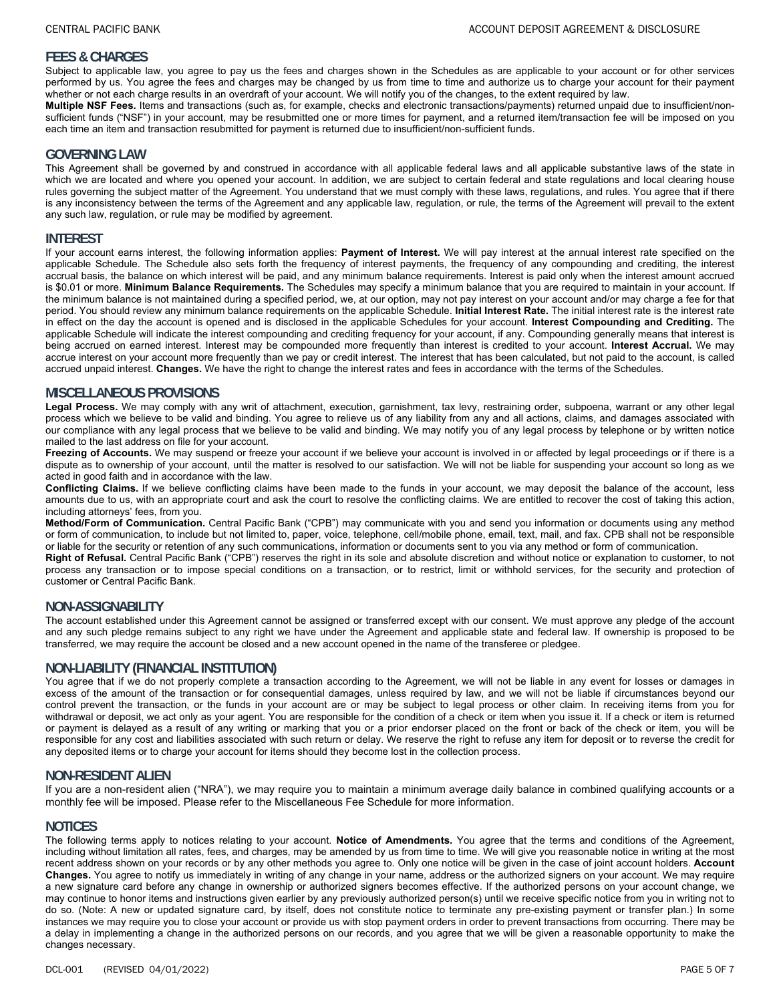# **FEES & CHARGES**

Subject to applicable law, you agree to pay us the fees and charges shown in the Schedules as are applicable to your account or for other services performed by us. You agree the fees and charges may be changed by us from time to time and authorize us to charge your account for their payment whether or not each charge results in an overdraft of your account. We will notify you of the changes, to the extent required by law.

**Multiple NSF Fees.** Items and transactions (such as, for example, checks and electronic transactions/payments) returned unpaid due to insufficient/nonsufficient funds ("NSF") in your account, may be resubmitted one or more times for payment, and a returned item/transaction fee will be imposed on you each time an item and transaction resubmitted for payment is returned due to insufficient/non-sufficient funds.

### **GOVERNING LAW**

This Agreement shall be governed by and construed in accordance with all applicable federal laws and all applicable substantive laws of the state in which we are located and where you opened your account. In addition, we are subject to certain federal and state regulations and local clearing house rules governing the subject matter of the Agreement. You understand that we must comply with these laws, regulations, and rules. You agree that if there is any inconsistency between the terms of the Agreement and any applicable law, regulation, or rule, the terms of the Agreement will prevail to the extent any such law, regulation, or rule may be modified by agreement.

### **INTEREST**

If your account earns interest, the following information applies: **Payment of Interest.** We will pay interest at the annual interest rate specified on the applicable Schedule. The Schedule also sets forth the frequency of interest payments, the frequency of any compounding and crediting, the interest accrual basis, the balance on which interest will be paid, and any minimum balance requirements. Interest is paid only when the interest amount accrued is \$0.01 or more. **Minimum Balance Requirements.** The Schedules may specify a minimum balance that you are required to maintain in your account. If the minimum balance is not maintained during a specified period, we, at our option, may not pay interest on your account and/or may charge a fee for that period. You should review any minimum balance requirements on the applicable Schedule. **Initial Interest Rate.** The initial interest rate is the interest rate in effect on the day the account is opened and is disclosed in the applicable Schedules for your account. **Interest Compounding and Crediting.** The applicable Schedule will indicate the interest compounding and crediting frequency for your account, if any. Compounding generally means that interest is being accrued on earned interest. Interest may be compounded more frequently than interest is credited to your account. **Interest Accrual.** We may accrue interest on your account more frequently than we pay or credit interest. The interest that has been calculated, but not paid to the account, is called accrued unpaid interest. **Changes.** We have the right to change the interest rates and fees in accordance with the terms of the Schedules.

### **MISCELLANEOUS PROVISIONS**

**Legal Process.** We may comply with any writ of attachment, execution, garnishment, tax levy, restraining order, subpoena, warrant or any other legal process which we believe to be valid and binding. You agree to relieve us of any liability from any and all actions, claims, and damages associated with our compliance with any legal process that we believe to be valid and binding. We may notify you of any legal process by telephone or by written notice mailed to the last address on file for your account.

Freezing of Accounts. We may suspend or freeze your account if we believe your account is involved in or affected by legal proceedings or if there is a dispute as to ownership of your account, until the matter is resolved to our satisfaction. We will not be liable for suspending your account so long as we acted in good faith and in accordance with the law.

**Conflicting Claims.** If we believe conflicting claims have been made to the funds in your account, we may deposit the balance of the account, less amounts due to us, with an appropriate court and ask the court to resolve the conflicting claims. We are entitled to recover the cost of taking this action, including attorneys' fees, from you.

**Method/Form of Communication.** Central Pacific Bank ("CPB") may communicate with you and send you information or documents using any method or form of communication, to include but not limited to, paper, voice, telephone, cell/mobile phone, email, text, mail, and fax. CPB shall not be responsible or liable for the security or retention of any such communications, information or documents sent to you via any method or form of communication.

**Right of Refusal.** Central Pacific Bank ("CPB") reserves the right in its sole and absolute discretion and without notice or explanation to customer, to not process any transaction or to impose special conditions on a transaction, or to restrict, limit or withhold services, for the security and protection of customer or Central Pacific Bank.

### **NON-ASSIGNABILITY**

The account established under this Agreement cannot be assigned or transferred except with our consent. We must approve any pledge of the account and any such pledge remains subject to any right we have under the Agreement and applicable state and federal law. If ownership is proposed to be transferred, we may require the account be closed and a new account opened in the name of the transferee or pledgee.

### **NON-LIABILITY (FINANCIAL INSTITUTION)**

You agree that if we do not properly complete a transaction according to the Agreement, we will not be liable in any event for losses or damages in excess of the amount of the transaction or for consequential damages, unless required by law, and we will not be liable if circumstances beyond our control prevent the transaction, or the funds in your account are or may be subject to legal process or other claim. In receiving items from you for withdrawal or deposit, we act only as your agent. You are responsible for the condition of a check or item when you issue it. If a check or item is returned or payment is delayed as a result of any writing or marking that you or a prior endorser placed on the front or back of the check or item, you will be responsible for any cost and liabilities associated with such return or delay. We reserve the right to refuse any item for deposit or to reverse the credit for any deposited items or to charge your account for items should they become lost in the collection process.

### **NON-RESIDENT ALIEN**

If you are a non-resident alien ("NRA"), we may require you to maintain a minimum average daily balance in combined qualifying accounts or a monthly fee will be imposed. Please refer to the Miscellaneous Fee Schedule for more information.

### **NOTICES**

The following terms apply to notices relating to your account. **Notice of Amendments.** You agree that the terms and conditions of the Agreement, including without limitation all rates, fees, and charges, may be amended by us from time to time. We will give you reasonable notice in writing at the most recent address shown on your records or by any other methods you agree to. Only one notice will be given in the case of joint account holders. **Account Changes.** You agree to notify us immediately in writing of any change in your name, address or the authorized signers on your account. We may require a new signature card before any change in ownership or authorized signers becomes effective. If the authorized persons on your account change, we may continue to honor items and instructions given earlier by any previously authorized person(s) until we receive specific notice from you in writing not to do so. (Note: A new or updated signature card, by itself, does not constitute notice to terminate any pre-existing payment or transfer plan.) In some instances we may require you to close your account or provide us with stop payment orders in order to prevent transactions from occurring. There may be a delay in implementing a change in the authorized persons on our records, and you agree that we will be given a reasonable opportunity to make the changes necessary.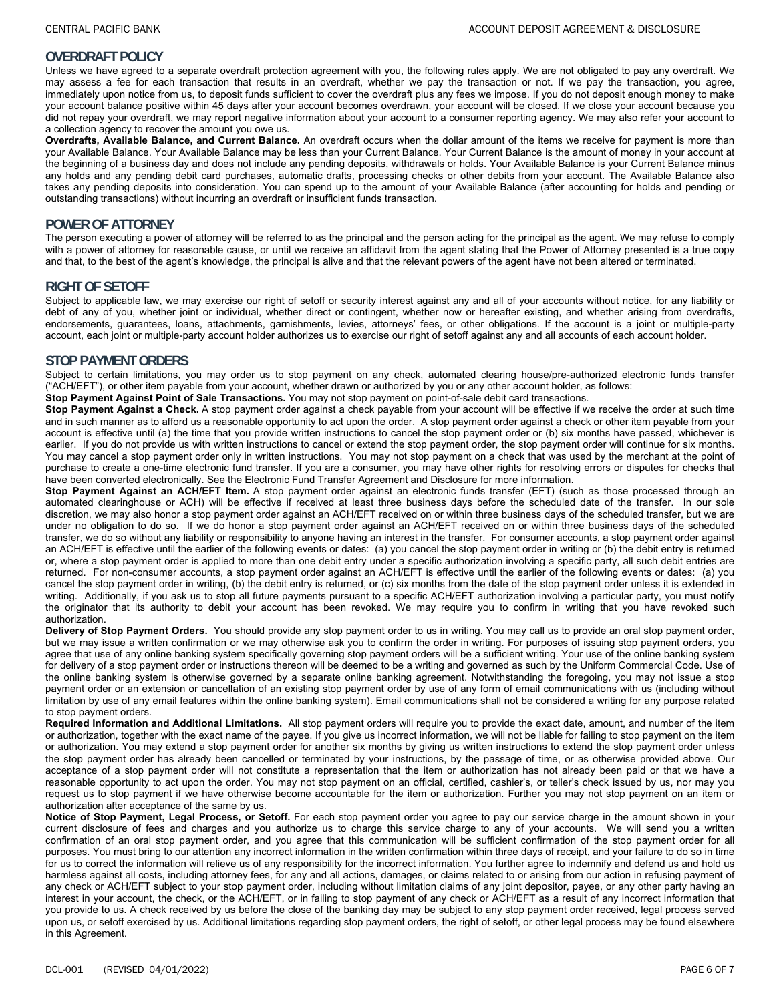# **OVERDRAFT POLICY**

Unless we have agreed to a separate overdraft protection agreement with you, the following rules apply. We are not obligated to pay any overdraft. We may assess a fee for each transaction that results in an overdraft, whether we pay the transaction or not. If we pay the transaction, you agree, immediately upon notice from us, to deposit funds sufficient to cover the overdraft plus any fees we impose. If you do not deposit enough money to make your account balance positive within 45 days after your account becomes overdrawn, your account will be closed. If we close your account because you did not repay your overdraft, we may report negative information about your account to a consumer reporting agency. We may also refer your account to a collection agency to recover the amount you owe us.

**Overdrafts, Available Balance, and Current Balance.** An overdraft occurs when the dollar amount of the items we receive for payment is more than your Available Balance. Your Available Balance may be less than your Current Balance. Your Current Balance is the amount of money in your account at the beginning of a business day and does not include any pending deposits, withdrawals or holds. Your Available Balance is your Current Balance minus any holds and any pending debit card purchases, automatic drafts, processing checks or other debits from your account. The Available Balance also takes any pending deposits into consideration. You can spend up to the amount of your Available Balance (after accounting for holds and pending or outstanding transactions) without incurring an overdraft or insufficient funds transaction.

### **POWER OF ATTORNEY**

The person executing a power of attorney will be referred to as the principal and the person acting for the principal as the agent. We may refuse to comply with a power of attorney for reasonable cause, or until we receive an affidavit from the agent stating that the Power of Attorney presented is a true copy and that, to the best of the agent's knowledge, the principal is alive and that the relevant powers of the agent have not been altered or terminated.

### **RIGHT OF SETOFF**

Subject to applicable law, we may exercise our right of setoff or security interest against any and all of your accounts without notice, for any liability or debt of any of you, whether joint or individual, whether direct or contingent, whether now or hereafter existing, and whether arising from overdrafts, endorsements, guarantees, loans, attachments, garnishments, levies, attorneys' fees, or other obligations. If the account is a joint or multiple-party account, each joint or multiple-party account holder authorizes us to exercise our right of setoff against any and all accounts of each account holder.

# **STOP PAYMENT ORDERS**

Subject to certain limitations, you may order us to stop payment on any check, automated clearing house/pre-authorized electronic funds transfer ("ACH/EFT"), or other item payable from your account, whether drawn or authorized by you or any other account holder, as follows:

**Stop Payment Against Point of Sale Transactions.** You may not stop payment on point-of-sale debit card transactions.

**Stop Payment Against a Check.** A stop payment order against a check payable from your account will be effective if we receive the order at such time and in such manner as to afford us a reasonable opportunity to act upon the order. A stop payment order against a check or other item payable from your account is effective until (a) the time that you provide written instructions to cancel the stop payment order or (b) six months have passed, whichever is earlier. If you do not provide us with written instructions to cancel or extend the stop payment order, the stop payment order will continue for six months. You may cancel a stop payment order only in written instructions. You may not stop payment on a check that was used by the merchant at the point of purchase to create a one-time electronic fund transfer. If you are a consumer, you may have other rights for resolving errors or disputes for checks that have been converted electronically. See the Electronic Fund Transfer Agreement and Disclosure for more information.

**Stop Payment Against an ACH/EFT Item.** A stop payment order against an electronic funds transfer (EFT) (such as those processed through an automated clearinghouse or ACH) will be effective if received at least three business days before the scheduled date of the transfer. In our sole discretion, we may also honor a stop payment order against an ACH/EFT received on or within three business days of the scheduled transfer, but we are under no obligation to do so. If we do honor a stop payment order against an ACH/EFT received on or within three business days of the scheduled transfer, we do so without any liability or responsibility to anyone having an interest in the transfer. For consumer accounts, a stop payment order against an ACH/EFT is effective until the earlier of the following events or dates: (a) you cancel the stop payment order in writing or (b) the debit entry is returned or, where a stop payment order is applied to more than one debit entry under a specific authorization involving a specific party, all such debit entries are returned. For non-consumer accounts, a stop payment order against an ACH/EFT is effective until the earlier of the following events or dates: (a) you cancel the stop payment order in writing, (b) the debit entry is returned, or (c) six months from the date of the stop payment order unless it is extended in writing. Additionally, if you ask us to stop all future payments pursuant to a specific ACH/EFT authorization involving a particular party, you must notify the originator that its authority to debit your account has been revoked. We may require you to confirm in writing that you have revoked such authorization.

**Delivery of Stop Payment Orders.** You should provide any stop payment order to us in writing. You may call us to provide an oral stop payment order, but we may issue a written confirmation or we may otherwise ask you to confirm the order in writing. For purposes of issuing stop payment orders, you agree that use of any online banking system specifically governing stop payment orders will be a sufficient writing. Your use of the online banking system for delivery of a stop payment order or instructions thereon will be deemed to be a writing and governed as such by the Uniform Commercial Code. Use of the online banking system is otherwise governed by a separate online banking agreement. Notwithstanding the foregoing, you may not issue a stop payment order or an extension or cancellation of an existing stop payment order by use of any form of email communications with us (including without limitation by use of any email features within the online banking system). Email communications shall not be considered a writing for any purpose related to stop payment orders.

**Required Information and Additional Limitations.** All stop payment orders will require you to provide the exact date, amount, and number of the item or authorization, together with the exact name of the payee. If you give us incorrect information, we will not be liable for failing to stop payment on the item or authorization. You may extend a stop payment order for another six months by giving us written instructions to extend the stop payment order unless the stop payment order has already been cancelled or terminated by your instructions, by the passage of time, or as otherwise provided above. Our acceptance of a stop payment order will not constitute a representation that the item or authorization has not already been paid or that we have a reasonable opportunity to act upon the order. You may not stop payment on an official, certified, cashier's, or teller's check issued by us, nor may you request us to stop payment if we have otherwise become accountable for the item or authorization. Further you may not stop payment on an item or authorization after acceptance of the same by us.

**Notice of Stop Payment, Legal Process, or Setoff.** For each stop payment order you agree to pay our service charge in the amount shown in your current disclosure of fees and charges and you authorize us to charge this service charge to any of your accounts. We will send you a written confirmation of an oral stop payment order, and you agree that this communication will be sufficient confirmation of the stop payment order for all purposes. You must bring to our attention any incorrect information in the written confirmation within three days of receipt, and your failure to do so in time for us to correct the information will relieve us of any responsibility for the incorrect information. You further agree to indemnify and defend us and hold us harmless against all costs, including attorney fees, for any and all actions, damages, or claims related to or arising from our action in refusing payment of any check or ACH/EFT subject to your stop payment order, including without limitation claims of any joint depositor, payee, or any other party having an interest in your account, the check, or the ACH/EFT, or in failing to stop payment of any check or ACH/EFT as a result of any incorrect information that you provide to us. A check received by us before the close of the banking day may be subject to any stop payment order received, legal process served upon us, or setoff exercised by us. Additional limitations regarding stop payment orders, the right of setoff, or other legal process may be found elsewhere in this Agreement.